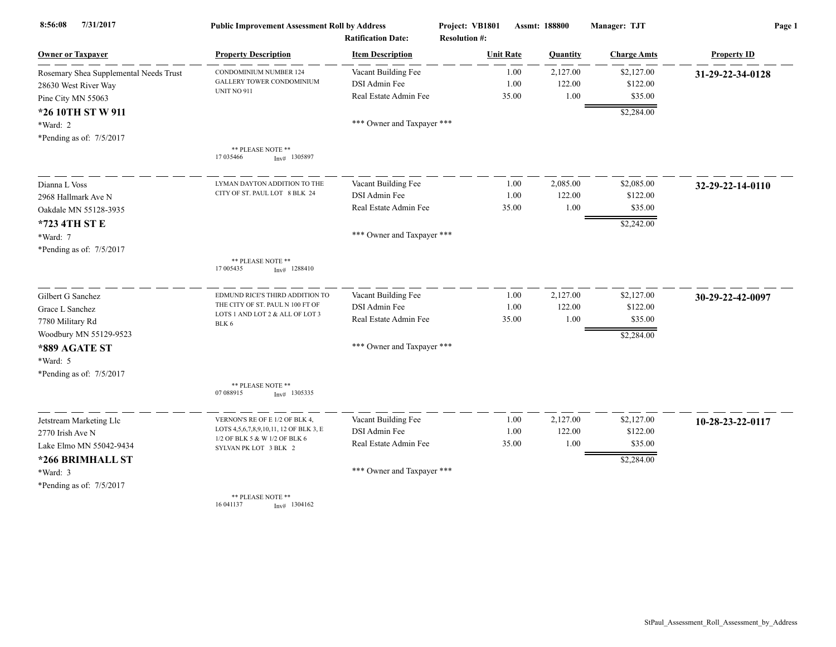| 7/31/2017<br>8:56:08                   | <b>Public Improvement Assessment Roll by Address</b>   |                            | Project: VB1801<br>Assmt: 188800 |       |          | Manager: TJT       | Page 1             |  |
|----------------------------------------|--------------------------------------------------------|----------------------------|----------------------------------|-------|----------|--------------------|--------------------|--|
|                                        |                                                        | <b>Ratification Date:</b>  | <b>Resolution #:</b>             |       |          |                    |                    |  |
| <b>Owner or Taxpayer</b>               | <b>Property Description</b>                            | <b>Item Description</b>    | <b>Unit Rate</b>                 |       | Quantity | <b>Charge Amts</b> | <b>Property ID</b> |  |
| Rosemary Shea Supplemental Needs Trust | CONDOMINIUM NUMBER 124                                 | Vacant Building Fee        |                                  | 1.00  | 2,127.00 | \$2,127.00         | 31-29-22-34-0128   |  |
| 28630 West River Way                   | <b>GALLERY TOWER CONDOMINIUM</b>                       | DSI Admin Fee              |                                  | 1.00  | 122.00   | \$122.00           |                    |  |
| Pine City MN 55063                     | <b>UNIT NO 911</b>                                     | Real Estate Admin Fee      |                                  | 35.00 | 1.00     | \$35.00            |                    |  |
| *26 10TH ST W 911                      |                                                        |                            |                                  |       |          | \$2,284.00         |                    |  |
| *Ward: 2                               |                                                        | *** Owner and Taxpayer *** |                                  |       |          |                    |                    |  |
| *Pending as of: 7/5/2017               |                                                        |                            |                                  |       |          |                    |                    |  |
|                                        | ** PLEASE NOTE **<br>17 035466<br>$Inv#$ 1305897       |                            |                                  |       |          |                    |                    |  |
| Dianna L Voss                          | LYMAN DAYTON ADDITION TO THE                           | Vacant Building Fee        |                                  | 1.00  | 2,085.00 | \$2,085.00         | 32-29-22-14-0110   |  |
| 2968 Hallmark Ave N                    | CITY OF ST. PAUL LOT 8 BLK 24                          | DSI Admin Fee              |                                  | 1.00  | 122.00   | \$122.00           |                    |  |
| Oakdale MN 55128-3935                  |                                                        | Real Estate Admin Fee      |                                  | 35.00 | 1.00     | \$35.00            |                    |  |
| *723 4TH ST E                          |                                                        |                            |                                  |       |          | \$2,242.00         |                    |  |
| *Ward: 7                               |                                                        | *** Owner and Taxpayer *** |                                  |       |          |                    |                    |  |
| *Pending as of: 7/5/2017               |                                                        |                            |                                  |       |          |                    |                    |  |
|                                        | ** PLEASE NOTE **<br>17 005435<br>$Inv#$ 1288410       |                            |                                  |       |          |                    |                    |  |
| Gilbert G Sanchez                      | EDMUND RICE'S THIRD ADDITION TO                        | Vacant Building Fee        |                                  | 1.00  | 2,127.00 | \$2,127.00         | 30-29-22-42-0097   |  |
| Grace L Sanchez                        | THE CITY OF ST. PAUL N 100 FT OF                       | DSI Admin Fee              |                                  | 1.00  | 122.00   | \$122.00           |                    |  |
| 7780 Military Rd                       | LOTS 1 AND LOT 2 & ALL OF LOT 3<br>BLK 6               | Real Estate Admin Fee      |                                  | 35.00 | 1.00     | \$35.00            |                    |  |
| Woodbury MN 55129-9523                 |                                                        |                            |                                  |       |          | \$2,284.00         |                    |  |
| *889 AGATE ST                          |                                                        | *** Owner and Taxpayer *** |                                  |       |          |                    |                    |  |
| *Ward: 5                               |                                                        |                            |                                  |       |          |                    |                    |  |
| *Pending as of: 7/5/2017               |                                                        |                            |                                  |       |          |                    |                    |  |
|                                        | ** PLEASE NOTE **<br>07 088915<br>$Inv#$ 1305335       |                            |                                  |       |          |                    |                    |  |
| Jetstream Marketing Llc                | VERNON'S RE OF E 1/2 OF BLK 4,                         | Vacant Building Fee        |                                  | 1.00  | 2,127.00 | \$2,127.00         | 10-28-23-22-0117   |  |
| 2770 Irish Ave N                       | LOTS 4,5,6,7,8,9,10,11, 12 OF BLK 3, E                 | DSI Admin Fee              |                                  | 1.00  | 122.00   | \$122.00           |                    |  |
| Lake Elmo MN 55042-9434                | 1/2 OF BLK 5 & W 1/2 OF BLK 6<br>SYLVAN PK LOT 3 BLK 2 | Real Estate Admin Fee      |                                  | 35.00 | 1.00     | \$35.00            |                    |  |
| *266 BRIMHALL ST                       |                                                        |                            |                                  |       |          | \$2,284.00         |                    |  |
| *Ward: 3                               |                                                        | *** Owner and Taxpayer *** |                                  |       |          |                    |                    |  |
| *Pending as of: 7/5/2017               |                                                        |                            |                                  |       |          |                    |                    |  |
|                                        | ** PLEASE NOTE **<br>16 04 11 37<br>Inv# 1304162       |                            |                                  |       |          |                    |                    |  |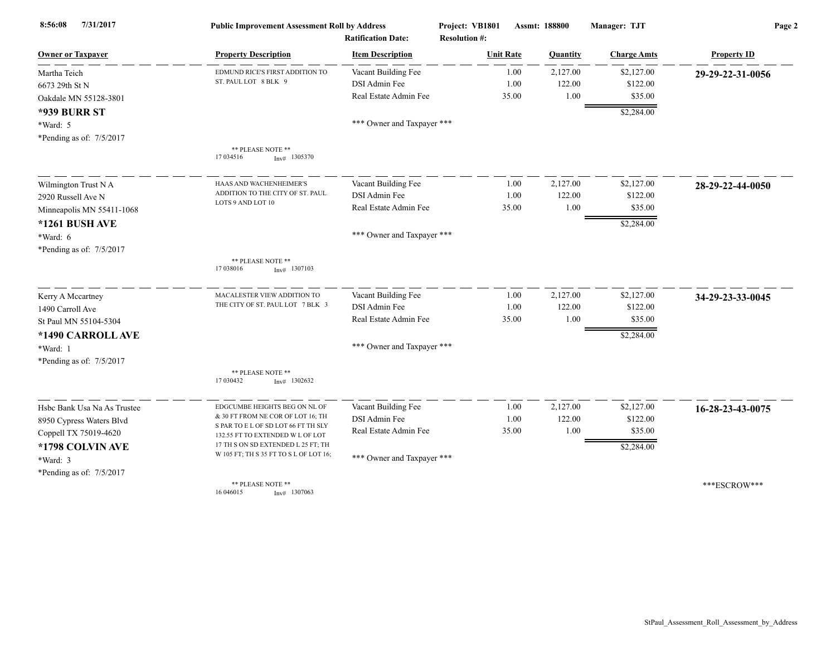| 7/31/2017<br>8:56:08        | <b>Public Improvement Assessment Roll by Address</b>                    |                            | Project: VB1801      | Assmt: 188800 | Manager: TJT       | Page 2             |  |
|-----------------------------|-------------------------------------------------------------------------|----------------------------|----------------------|---------------|--------------------|--------------------|--|
|                             |                                                                         | <b>Ratification Date:</b>  | <b>Resolution #:</b> |               |                    |                    |  |
| <b>Owner or Taxpayer</b>    | <b>Property Description</b>                                             | <b>Item Description</b>    | <b>Unit Rate</b>     | Quantity      | <b>Charge Amts</b> | <b>Property ID</b> |  |
| Martha Teich                | EDMUND RICE'S FIRST ADDITION TO                                         | Vacant Building Fee        | 1.00                 | 2,127.00      | \$2,127.00         | 29-29-22-31-0056   |  |
| 6673 29th St N              | ST. PAUL LOT 8 BLK 9                                                    | DSI Admin Fee              | 1.00                 | 122.00        | \$122.00           |                    |  |
| Oakdale MN 55128-3801       |                                                                         | Real Estate Admin Fee      | 35.00                | 1.00          | \$35.00            |                    |  |
| *939 BURR ST                |                                                                         |                            |                      |               | \$2,284.00         |                    |  |
| *Ward: 5                    |                                                                         | *** Owner and Taxpayer *** |                      |               |                    |                    |  |
| *Pending as of: 7/5/2017    |                                                                         |                            |                      |               |                    |                    |  |
|                             | ** PLEASE NOTE **<br>17 03 45 16<br>$Inv#$ 1305370                      |                            |                      |               |                    |                    |  |
| Wilmington Trust N A        | HAAS AND WACHENHEIMER'S                                                 | Vacant Building Fee        | 1.00                 | 2,127.00      | \$2,127.00         | 28-29-22-44-0050   |  |
| 2920 Russell Ave N          | ADDITION TO THE CITY OF ST. PAUL                                        | DSI Admin Fee              | 1.00                 | 122.00        | \$122.00           |                    |  |
| Minneapolis MN 55411-1068   | LOTS 9 AND LOT 10                                                       | Real Estate Admin Fee      | 35.00                | 1.00          | \$35.00            |                    |  |
| *1261 BUSH AVE              |                                                                         |                            |                      |               | \$2,284.00         |                    |  |
| *Ward: 6                    |                                                                         | *** Owner and Taxpayer *** |                      |               |                    |                    |  |
| *Pending as of: $7/5/2017$  |                                                                         |                            |                      |               |                    |                    |  |
|                             | ** PLEASE NOTE **<br>17 03 8016<br>$Inv#$ 1307103                       |                            |                      |               |                    |                    |  |
| Kerry A Mccartney           | MACALESTER VIEW ADDITION TO                                             | Vacant Building Fee        | 1.00                 | 2,127.00      | \$2,127.00         | 34-29-23-33-0045   |  |
| 1490 Carroll Ave            | THE CITY OF ST. PAUL LOT 7 BLK 3                                        | DSI Admin Fee              | 1.00                 | 122.00        | \$122.00           |                    |  |
| St Paul MN 55104-5304       |                                                                         | Real Estate Admin Fee      | 35.00                | 1.00          | \$35.00            |                    |  |
| *1490 CARROLL AVE           |                                                                         |                            |                      |               | \$2,284.00         |                    |  |
| *Ward: 1                    |                                                                         | *** Owner and Taxpayer *** |                      |               |                    |                    |  |
| *Pending as of: 7/5/2017    |                                                                         |                            |                      |               |                    |                    |  |
|                             | ** PLEASE NOTE **<br>17 030432<br>$Inv#$ 1302632                        |                            |                      |               |                    |                    |  |
| Hsbc Bank Usa Na As Trustee | EDGCUMBE HEIGHTS BEG ON NL OF                                           | Vacant Building Fee        | 1.00                 | 2,127.00      | \$2,127.00         | 16-28-23-43-0075   |  |
| 8950 Cypress Waters Blvd    | & 30 FT FROM NE COR OF LOT 16; TH                                       | DSI Admin Fee              | 1.00                 | 122.00        | \$122.00           |                    |  |
| Coppell TX 75019-4620       | S PAR TO E L OF SD LOT 66 FT TH SLY<br>132.55 FT TO EXTENDED W L OF LOT | Real Estate Admin Fee      | 35.00                | 1.00          | \$35.00            |                    |  |
| *1798 COLVIN AVE            | 17 TH S ON SD EXTENDED L 25 FT; TH                                      |                            |                      |               | \$2,284.00         |                    |  |
| *Ward: 3                    | W 105 FT; TH S 35 FT TO S L OF LOT 16;                                  | *** Owner and Taxpayer *** |                      |               |                    |                    |  |
| *Pending as of: 7/5/2017    |                                                                         |                            |                      |               |                    |                    |  |
|                             | ** PLEASE NOTE **<br>16 04 6015<br>$Inv#$ 1307063                       |                            |                      |               |                    | ***ESCROW***       |  |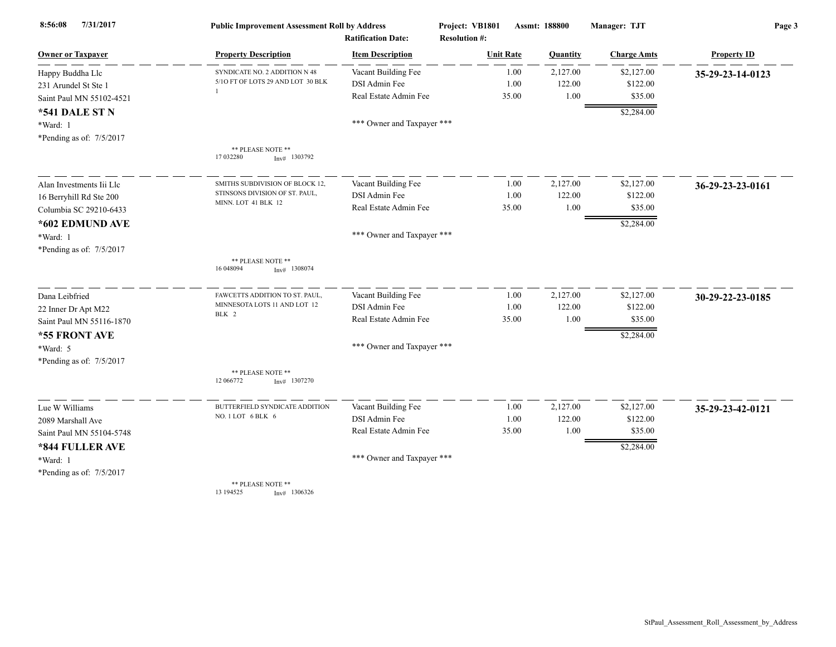| 7/31/2017<br>8:56:08     | <b>Public Improvement Assessment Roll by Address</b><br><b>Ratification Date:</b> |                            | Project: VB1801                          | Assmt: 188800 | Manager: TJT       | Page 3             |  |
|--------------------------|-----------------------------------------------------------------------------------|----------------------------|------------------------------------------|---------------|--------------------|--------------------|--|
| <b>Owner or Taxpayer</b> | <b>Property Description</b>                                                       | <b>Item Description</b>    | <b>Resolution #:</b><br><b>Unit Rate</b> | Quantity      | <b>Charge Amts</b> | <b>Property ID</b> |  |
| Happy Buddha Llc         | SYNDICATE NO. 2 ADDITION N 48                                                     | Vacant Building Fee        | 1.00                                     | 2,127.00      | \$2,127.00         | 35-29-23-14-0123   |  |
| 231 Arundel St Ste 1     | 5/10 FT OF LOTS 29 AND LOT 30 BLK                                                 | DSI Admin Fee              | 1.00                                     | 122.00        | \$122.00           |                    |  |
| Saint Paul MN 55102-4521 |                                                                                   | Real Estate Admin Fee      | 35.00                                    | 1.00          | \$35.00            |                    |  |
| <b>*541 DALE ST N</b>    |                                                                                   |                            |                                          |               | \$2,284.00         |                    |  |
| *Ward: 1                 |                                                                                   | *** Owner and Taxpayer *** |                                          |               |                    |                    |  |
| *Pending as of: 7/5/2017 |                                                                                   |                            |                                          |               |                    |                    |  |
|                          | ** PLEASE NOTE **<br>17 032280<br>$Inv#$ 1303792                                  |                            |                                          |               |                    |                    |  |
| Alan Investments Iii Llc | SMITHS SUBDIVISION OF BLOCK 12,                                                   | Vacant Building Fee        | 1.00                                     | 2,127.00      | \$2,127.00         | 36-29-23-23-0161   |  |
| 16 Berryhill Rd Ste 200  | STINSONS DIVISION OF ST. PAUL,                                                    | DSI Admin Fee              | 1.00                                     | 122.00        | \$122.00           |                    |  |
| Columbia SC 29210-6433   | MINN. LOT 41 BLK 12                                                               | Real Estate Admin Fee      | 35.00                                    | 1.00          | \$35.00            |                    |  |
| *602 EDMUND AVE          |                                                                                   |                            |                                          |               | \$2,284.00         |                    |  |
| *Ward: 1                 |                                                                                   | *** Owner and Taxpayer *** |                                          |               |                    |                    |  |
| *Pending as of: 7/5/2017 |                                                                                   |                            |                                          |               |                    |                    |  |
|                          | ** PLEASE NOTE **<br>16 048094<br>$Inv#$ 1308074                                  |                            |                                          |               |                    |                    |  |
| Dana Leibfried           | FAWCETTS ADDITION TO ST. PAUL.                                                    | Vacant Building Fee        | 1.00                                     | 2,127.00      | \$2,127.00         | 30-29-22-23-0185   |  |
| 22 Inner Dr Apt M22      | MINNESOTA LOTS 11 AND LOT 12                                                      | DSI Admin Fee              | 1.00                                     | 122.00        | \$122.00           |                    |  |
| Saint Paul MN 55116-1870 | BLK 2                                                                             | Real Estate Admin Fee      | 35.00                                    | 1.00          | \$35.00            |                    |  |
| *55 FRONT AVE            |                                                                                   |                            |                                          |               | \$2,284.00         |                    |  |
| *Ward: 5                 |                                                                                   | *** Owner and Taxpayer *** |                                          |               |                    |                    |  |
| *Pending as of: 7/5/2017 |                                                                                   |                            |                                          |               |                    |                    |  |
|                          | ** PLEASE NOTE **<br>12 066772<br>$Inv#$ 1307270                                  |                            |                                          |               |                    |                    |  |
| Lue W Williams           | BUTTERFIELD SYNDICATE ADDITION                                                    | Vacant Building Fee        | 1.00                                     | 2,127.00      | \$2,127.00         | 35-29-23-42-0121   |  |
| 2089 Marshall Ave        | NO. 1 LOT 6 BLK 6                                                                 | DSI Admin Fee              | 1.00                                     | 122.00        | \$122.00           |                    |  |
| Saint Paul MN 55104-5748 |                                                                                   | Real Estate Admin Fee      | 35.00                                    | 1.00          | \$35.00            |                    |  |
| *844 FULLER AVE          |                                                                                   |                            |                                          |               | \$2,284.00         |                    |  |
| *Ward: 1                 |                                                                                   | *** Owner and Taxpayer *** |                                          |               |                    |                    |  |
| *Pending as of: 7/5/2017 |                                                                                   |                            |                                          |               |                    |                    |  |
|                          | ** PLEASE NOTE **<br>13 194525<br>$Inv#$ 1306326                                  |                            |                                          |               |                    |                    |  |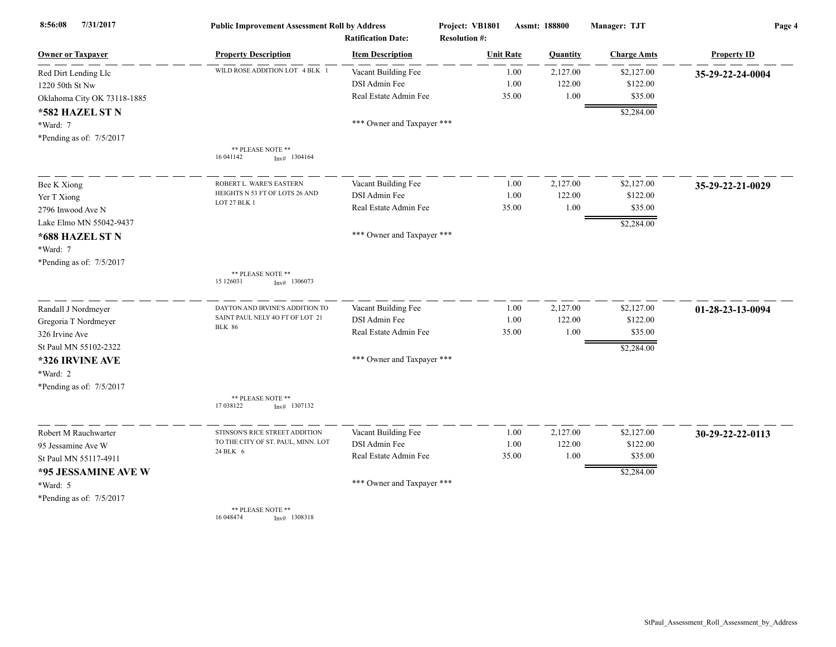| 7/31/2017<br>8:56:08        | <b>Public Improvement Assessment Roll by Address</b><br><b>Ratification Date:</b> |                            | Project: VB1801<br><b>Resolution #:</b> |       | Assmt: 188800 | Manager: TJT       | Page 4             |  |
|-----------------------------|-----------------------------------------------------------------------------------|----------------------------|-----------------------------------------|-------|---------------|--------------------|--------------------|--|
| <b>Owner or Taxpayer</b>    | <b>Property Description</b>                                                       | <b>Item Description</b>    | <b>Unit Rate</b>                        |       | Quantity      | <b>Charge Amts</b> | <b>Property ID</b> |  |
| Red Dirt Lending Llc        | WILD ROSE ADDITION LOT 4 BLK 1                                                    | Vacant Building Fee        |                                         | 1.00  | 2,127.00      | \$2,127.00         | 35-29-22-24-0004   |  |
| 1220 50th St Nw             |                                                                                   | DSI Admin Fee              |                                         | 1.00  | 122.00        | \$122.00           |                    |  |
| Oklahoma City OK 73118-1885 |                                                                                   | Real Estate Admin Fee      |                                         | 35.00 | 1.00          | \$35.00            |                    |  |
| *582 HAZEL ST N             |                                                                                   |                            |                                         |       |               | \$2,284.00         |                    |  |
| *Ward: 7                    |                                                                                   | *** Owner and Taxpayer *** |                                         |       |               |                    |                    |  |
| *Pending as of: 7/5/2017    |                                                                                   |                            |                                         |       |               |                    |                    |  |
|                             | ** PLEASE NOTE **<br>16 04 1142<br>Inv# 1304164                                   |                            |                                         |       |               |                    |                    |  |
| Bee K Xiong                 | ROBERT L. WARE'S EASTERN                                                          | Vacant Building Fee        |                                         | 1.00  | 2,127.00      | \$2,127.00         | 35-29-22-21-0029   |  |
| Yer T Xiong                 | HEIGHTS N 53 FT OF LOTS 26 AND                                                    | DSI Admin Fee              |                                         | 1.00  | 122.00        | \$122.00           |                    |  |
| 2796 Inwood Ave N           | LOT 27 BLK 1                                                                      | Real Estate Admin Fee      |                                         | 35.00 | 1.00          | \$35.00            |                    |  |
| Lake Elmo MN 55042-9437     |                                                                                   |                            |                                         |       |               | \$2,284.00         |                    |  |
| *688 HAZEL ST N             |                                                                                   | *** Owner and Taxpayer *** |                                         |       |               |                    |                    |  |
| *Ward: 7                    |                                                                                   |                            |                                         |       |               |                    |                    |  |
|                             |                                                                                   |                            |                                         |       |               |                    |                    |  |
| *Pending as of: 7/5/2017    | ** PLEASE NOTE **                                                                 |                            |                                         |       |               |                    |                    |  |
|                             | 15 126031<br>$Inv#$ 1306073                                                       |                            |                                         |       |               |                    |                    |  |
| Randall J Nordmeyer         | DAYTON AND IRVINE'S ADDITION TO                                                   | Vacant Building Fee        |                                         | 1.00  | 2,127.00      | \$2,127.00         | 01-28-23-13-0094   |  |
| Gregoria T Nordmeyer        | SAINT PAUL NELY 40 FT OF LOT 21                                                   | DSI Admin Fee              |                                         | 1.00  | 122.00        | \$122.00           |                    |  |
| 326 Irvine Ave              | <b>BLK 86</b>                                                                     | Real Estate Admin Fee      |                                         | 35.00 | 1.00          | \$35.00            |                    |  |
| St Paul MN 55102-2322       |                                                                                   |                            |                                         |       |               | \$2,284.00         |                    |  |
| *326 IRVINE AVE             |                                                                                   | *** Owner and Taxpayer *** |                                         |       |               |                    |                    |  |
| *Ward: 2                    |                                                                                   |                            |                                         |       |               |                    |                    |  |
| *Pending as of: 7/5/2017    |                                                                                   |                            |                                         |       |               |                    |                    |  |
|                             | ** PLEASE NOTE **<br>17 038122<br>$Inv#$ 1307132                                  |                            |                                         |       |               |                    |                    |  |
| Robert M Rauchwarter        | STINSON'S RICE STREET ADDITION                                                    | Vacant Building Fee        |                                         | 1.00  | 2,127.00      | \$2,127.00         | 30-29-22-22-0113   |  |
| 95 Jessamine Ave W          | TO THE CITY OF ST. PAUL, MINN. LOT                                                | DSI Admin Fee              |                                         | 1.00  | 122.00        | \$122.00           |                    |  |
| St Paul MN 55117-4911       | 24 BLK 6                                                                          | Real Estate Admin Fee      |                                         | 35.00 | 1.00          | \$35.00            |                    |  |
| *95 JESSAMINE AVE W         |                                                                                   |                            |                                         |       |               | \$2,284.00         |                    |  |
| *Ward: 5                    |                                                                                   | *** Owner and Taxpayer *** |                                         |       |               |                    |                    |  |
| *Pending as of: 7/5/2017    |                                                                                   |                            |                                         |       |               |                    |                    |  |
|                             | ** PLEASE NOTE **<br>16 04 8474<br>$Inv#$ 1308318                                 |                            |                                         |       |               |                    |                    |  |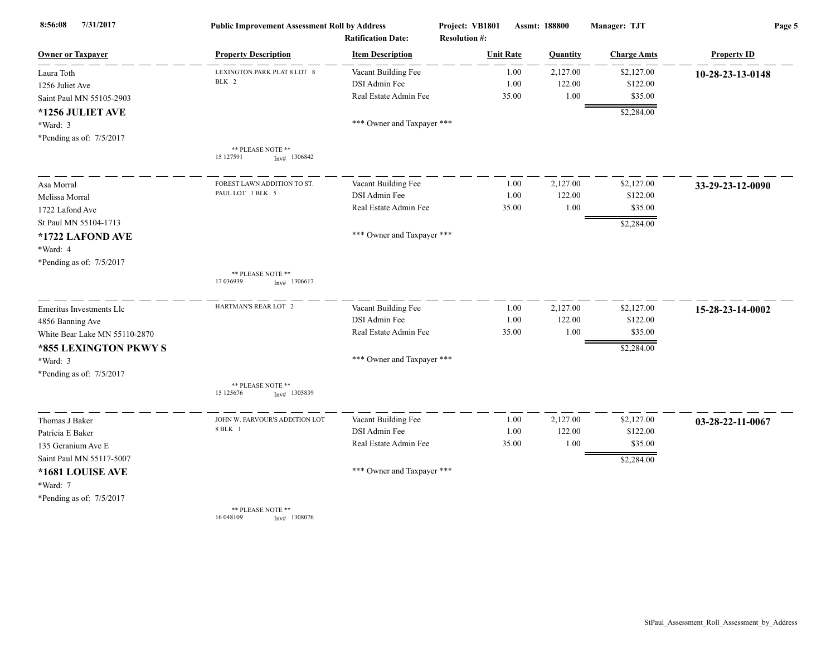| 8:56:08<br>7/31/2017          | <b>Public Improvement Assessment Roll by Address</b> |                            | Project: VB1801      | Assmt: 188800 |                 | Manager: TJT       | Page 5             |  |
|-------------------------------|------------------------------------------------------|----------------------------|----------------------|---------------|-----------------|--------------------|--------------------|--|
|                               |                                                      | <b>Ratification Date:</b>  | <b>Resolution #:</b> |               |                 |                    |                    |  |
| <b>Owner or Taxpayer</b>      | <b>Property Description</b>                          | <b>Item Description</b>    | <b>Unit Rate</b>     |               | <b>Quantity</b> | <b>Charge Amts</b> | <b>Property ID</b> |  |
| Laura Toth                    | LEXINGTON PARK PLAT 8 LOT 8                          | Vacant Building Fee        |                      | 1.00          | 2,127.00        | \$2,127.00         | 10-28-23-13-0148   |  |
| 1256 Juliet Ave               | BLK 2                                                | DSI Admin Fee              |                      | 1.00          | 122.00          | \$122.00           |                    |  |
| Saint Paul MN 55105-2903      |                                                      | Real Estate Admin Fee      |                      | 35.00         | 1.00            | \$35.00            |                    |  |
| *1256 JULIET AVE              |                                                      |                            |                      |               |                 | \$2,284.00         |                    |  |
| *Ward: 3                      |                                                      | *** Owner and Taxpayer *** |                      |               |                 |                    |                    |  |
| *Pending as of: 7/5/2017      |                                                      |                            |                      |               |                 |                    |                    |  |
|                               | ** PLEASE NOTE **<br>15 127591<br>Inv# 1306842       |                            |                      |               |                 |                    |                    |  |
| Asa Morral                    | FOREST LAWN ADDITION TO ST.                          | Vacant Building Fee        |                      | 1.00          | 2,127.00        | \$2,127.00         | 33-29-23-12-0090   |  |
| Melissa Morral                | PAUL LOT 1 BLK 5                                     | DSI Admin Fee              |                      | 1.00          | 122.00          | \$122.00           |                    |  |
| 1722 Lafond Ave               |                                                      | Real Estate Admin Fee      |                      | 35.00         | 1.00            | \$35.00            |                    |  |
| St Paul MN 55104-1713         |                                                      |                            |                      |               |                 | \$2,284.00         |                    |  |
| *1722 LAFOND AVE              |                                                      | *** Owner and Taxpayer *** |                      |               |                 |                    |                    |  |
| *Ward: 4                      |                                                      |                            |                      |               |                 |                    |                    |  |
| *Pending as of: 7/5/2017      |                                                      |                            |                      |               |                 |                    |                    |  |
|                               | ** PLEASE NOTE **<br>17 03 69 39<br>$Inv#$ 1306617   |                            |                      |               |                 |                    |                    |  |
| Emeritus Investments Llc      | HARTMAN'S REAR LOT 2                                 | Vacant Building Fee        |                      | 1.00          | 2,127.00        | \$2,127.00         | 15-28-23-14-0002   |  |
| 4856 Banning Ave              |                                                      | DSI Admin Fee              |                      | 1.00          | 122.00          | \$122.00           |                    |  |
| White Bear Lake MN 55110-2870 |                                                      | Real Estate Admin Fee      |                      | 35.00         | 1.00            | \$35.00            |                    |  |
| *855 LEXINGTON PKWY S         |                                                      |                            |                      |               |                 | \$2,284.00         |                    |  |
| *Ward: 3                      |                                                      | *** Owner and Taxpayer *** |                      |               |                 |                    |                    |  |
| *Pending as of: 7/5/2017      |                                                      |                            |                      |               |                 |                    |                    |  |
|                               | ** PLEASE NOTE **<br>15 125676<br>$Inv#$ 1305839     |                            |                      |               |                 |                    |                    |  |
| Thomas J Baker                | JOHN W. FARVOUR'S ADDITION LOT                       | Vacant Building Fee        |                      | 1.00          | 2,127.00        | \$2,127.00         | 03-28-22-11-0067   |  |
| Patricia E Baker              | 8 BLK 1                                              | DSI Admin Fee              |                      | 1.00          | 122.00          | \$122.00           |                    |  |
| 135 Geranium Ave E            |                                                      | Real Estate Admin Fee      |                      | 35.00         | 1.00            | \$35.00            |                    |  |
| Saint Paul MN 55117-5007      |                                                      |                            |                      |               |                 | \$2,284.00         |                    |  |
| *1681 LOUISE AVE              |                                                      | *** Owner and Taxpayer *** |                      |               |                 |                    |                    |  |
| *Ward: 7                      |                                                      |                            |                      |               |                 |                    |                    |  |
| *Pending as of: 7/5/2017      |                                                      |                            |                      |               |                 |                    |                    |  |
|                               | ** PLEASE NOTE **                                    |                            |                      |               |                 |                    |                    |  |

16 048109 Inv# 1308076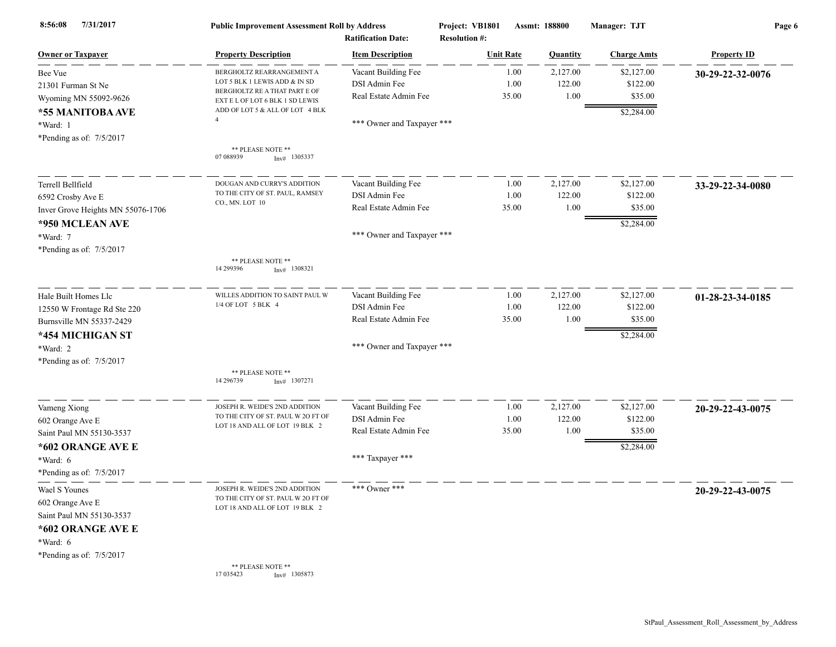| 7/31/2017<br>8:56:08              | <b>Public Improvement Assessment Roll by Address</b><br><b>Ratification Date:</b> |                            | Project: VB1801<br><b>Resolution #:</b> | Assmt: 188800    |          | Manager: TJT       | Page 6             |  |
|-----------------------------------|-----------------------------------------------------------------------------------|----------------------------|-----------------------------------------|------------------|----------|--------------------|--------------------|--|
| <b>Owner or Taxpayer</b>          | <b>Property Description</b>                                                       | <b>Item Description</b>    |                                         | <b>Unit Rate</b> | Quantity | <b>Charge Amts</b> | <b>Property ID</b> |  |
| Bee Vue                           | BERGHOLTZ REARRANGEMENT A                                                         | Vacant Building Fee        |                                         | 1.00             | 2,127.00 | \$2,127.00         | 30-29-22-32-0076   |  |
| 21301 Furman St Ne                | LOT 5 BLK 1 LEWIS ADD & IN SD                                                     | DSI Admin Fee              |                                         | 1.00             | 122.00   | \$122.00           |                    |  |
| Wyoming MN 55092-9626             | BERGHOLTZ RE A THAT PART E OF<br>EXT E L OF LOT 6 BLK 1 SD LEWIS                  | Real Estate Admin Fee      |                                         | 35.00            | 1.00     | \$35.00            |                    |  |
| *55 MANITOBA AVE                  | ADD OF LOT 5 & ALL OF LOT 4 BLK                                                   |                            |                                         |                  |          | \$2,284.00         |                    |  |
| *Ward: 1                          |                                                                                   | *** Owner and Taxpayer *** |                                         |                  |          |                    |                    |  |
| *Pending as of: 7/5/2017          |                                                                                   |                            |                                         |                  |          |                    |                    |  |
|                                   | ** PLEASE NOTE **<br>07 088939<br>$Inv#$ 1305337                                  |                            |                                         |                  |          |                    |                    |  |
| Terrell Bellfield                 | DOUGAN AND CURRY'S ADDITION                                                       | Vacant Building Fee        |                                         | 1.00             | 2,127.00 | \$2,127.00         | 33-29-22-34-0080   |  |
| 6592 Crosby Ave E                 | TO THE CITY OF ST. PAUL, RAMSEY                                                   | DSI Admin Fee              |                                         | 1.00             | 122.00   | \$122.00           |                    |  |
| Inver Grove Heights MN 55076-1706 | CO., MN. LOT 10                                                                   | Real Estate Admin Fee      |                                         | 35.00            | 1.00     | \$35.00            |                    |  |
| *950 MCLEAN AVE                   |                                                                                   |                            |                                         |                  |          | \$2,284.00         |                    |  |
| *Ward: 7                          |                                                                                   | *** Owner and Taxpayer *** |                                         |                  |          |                    |                    |  |
| *Pending as of: 7/5/2017          |                                                                                   |                            |                                         |                  |          |                    |                    |  |
|                                   | ** PLEASE NOTE **<br>14 29 9396<br>$Inv#$ 1308321                                 |                            |                                         |                  |          |                    |                    |  |
| Hale Built Homes Llc              | WILLES ADDITION TO SAINT PAUL W                                                   | Vacant Building Fee        |                                         | 1.00             | 2,127.00 | \$2,127.00         | 01-28-23-34-0185   |  |
| 12550 W Frontage Rd Ste 220       | 1/4 OF LOT 5 BLK 4                                                                | DSI Admin Fee              |                                         | 1.00             | 122.00   | \$122.00           |                    |  |
| Burnsville MN 55337-2429          |                                                                                   | Real Estate Admin Fee      |                                         | 35.00            | 1.00     | \$35.00            |                    |  |
| *454 MICHIGAN ST                  |                                                                                   |                            |                                         |                  |          | \$2,284.00         |                    |  |
| *Ward: 2                          |                                                                                   | *** Owner and Taxpayer *** |                                         |                  |          |                    |                    |  |
| *Pending as of: $7/5/2017$        |                                                                                   |                            |                                         |                  |          |                    |                    |  |
|                                   | ** PLEASE NOTE **<br>14 29 6739<br>$Inv#$ 1307271                                 |                            |                                         |                  |          |                    |                    |  |
| Vameng Xiong                      | JOSEPH R. WEIDE'S 2ND ADDITION                                                    | Vacant Building Fee        |                                         | 1.00             | 2,127.00 | \$2,127.00         | 20-29-22-43-0075   |  |
| 602 Orange Ave E                  | TO THE CITY OF ST. PAUL W 2O FT OF                                                | DSI Admin Fee              |                                         | 1.00             | 122.00   | \$122.00           |                    |  |
| Saint Paul MN 55130-3537          | LOT 18 AND ALL OF LOT 19 BLK 2                                                    | Real Estate Admin Fee      |                                         | 35.00            | 1.00     | \$35.00            |                    |  |
| *602 ORANGE AVE E                 |                                                                                   |                            |                                         |                  |          | \$2,284.00         |                    |  |
| *Ward: 6                          |                                                                                   | *** Taxpayer ***           |                                         |                  |          |                    |                    |  |
| *Pending as of: 7/5/2017          |                                                                                   |                            |                                         |                  |          |                    |                    |  |
| Wael S Younes                     | JOSEPH R. WEIDE'S 2ND ADDITION                                                    | *** Owner ***              |                                         |                  |          |                    | 20-29-22-43-0075   |  |
| 602 Orange Ave E                  | TO THE CITY OF ST. PAUL W 2O FT OF                                                |                            |                                         |                  |          |                    |                    |  |
| Saint Paul MN 55130-3537          | LOT 18 AND ALL OF LOT 19 BLK 2                                                    |                            |                                         |                  |          |                    |                    |  |
| *602 ORANGE AVE E                 |                                                                                   |                            |                                         |                  |          |                    |                    |  |
| *Ward: 6                          |                                                                                   |                            |                                         |                  |          |                    |                    |  |
| *Pending as of: $7/5/2017$        |                                                                                   |                            |                                         |                  |          |                    |                    |  |
|                                   | ** PLEASE NOTE **<br>17 035423<br>$Inv#$ 1305873                                  |                            |                                         |                  |          |                    |                    |  |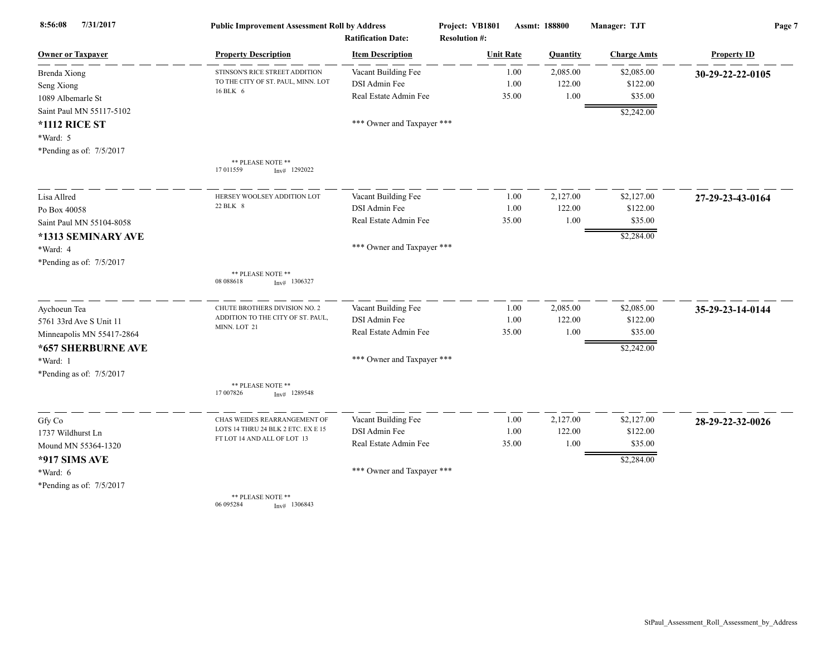| 7/31/2017<br>8:56:08      | <b>Public Improvement Assessment Roll by Address</b><br><b>Ratification Date:</b> |                            | Project: VB1801<br><b>Resolution #:</b> | Assmt: 188800 |          | Manager: TJT       | Page 7             |  |
|---------------------------|-----------------------------------------------------------------------------------|----------------------------|-----------------------------------------|---------------|----------|--------------------|--------------------|--|
| <b>Owner or Taxpayer</b>  | <b>Property Description</b>                                                       | <b>Item Description</b>    | <b>Unit Rate</b>                        |               | Quantity | <b>Charge Amts</b> | <b>Property ID</b> |  |
| <b>Brenda Xiong</b>       | STINSON'S RICE STREET ADDITION                                                    | Vacant Building Fee        |                                         | 1.00          | 2,085.00 | \$2,085.00         | 30-29-22-22-0105   |  |
| Seng Xiong                | TO THE CITY OF ST. PAUL, MINN. LOT                                                | DSI Admin Fee              |                                         | 1.00          | 122.00   | \$122.00           |                    |  |
| 1089 Albemarle St         | 16 BLK 6                                                                          | Real Estate Admin Fee      |                                         | 35.00         | 1.00     | \$35.00            |                    |  |
| Saint Paul MN 55117-5102  |                                                                                   |                            |                                         |               |          | \$2,242.00         |                    |  |
| <b>*1112 RICE ST</b>      |                                                                                   | *** Owner and Taxpayer *** |                                         |               |          |                    |                    |  |
| *Ward: 5                  |                                                                                   |                            |                                         |               |          |                    |                    |  |
| *Pending as of: 7/5/2017  |                                                                                   |                            |                                         |               |          |                    |                    |  |
|                           | ** PLEASE NOTE **<br>17 011559<br>$Inv#$ 1292022                                  |                            |                                         |               |          |                    |                    |  |
| Lisa Allred               | HERSEY WOOLSEY ADDITION LOT                                                       | Vacant Building Fee        |                                         | 1.00          | 2,127.00 | \$2,127.00         | 27-29-23-43-0164   |  |
| Po Box 40058              | 22 BLK 8                                                                          | DSI Admin Fee              |                                         | 1.00          | 122.00   | \$122.00           |                    |  |
| Saint Paul MN 55104-8058  |                                                                                   | Real Estate Admin Fee      |                                         | 35.00         | 1.00     | \$35.00            |                    |  |
| *1313 SEMINARY AVE        |                                                                                   |                            |                                         |               |          | \$2,284.00         |                    |  |
| *Ward: 4                  |                                                                                   | *** Owner and Taxpayer *** |                                         |               |          |                    |                    |  |
| *Pending as of: 7/5/2017  |                                                                                   |                            |                                         |               |          |                    |                    |  |
|                           | ** PLEASE NOTE **<br>08 088618<br>$Inv#$ 1306327                                  |                            |                                         |               |          |                    |                    |  |
| Aychoeun Tea              | CHUTE BROTHERS DIVISION NO. 2                                                     | Vacant Building Fee        |                                         | 1.00          | 2,085.00 | \$2,085.00         | 35-29-23-14-0144   |  |
| 5761 33rd Ave S Unit 11   | ADDITION TO THE CITY OF ST. PAUL,<br>MINN. LOT 21                                 | DSI Admin Fee              |                                         | 1.00          | 122.00   | \$122.00           |                    |  |
| Minneapolis MN 55417-2864 |                                                                                   | Real Estate Admin Fee      |                                         | 35.00         | 1.00     | \$35.00            |                    |  |
| *657 SHERBURNE AVE        |                                                                                   |                            |                                         |               |          | \$2,242.00         |                    |  |
| *Ward: 1                  |                                                                                   | *** Owner and Taxpayer *** |                                         |               |          |                    |                    |  |
| *Pending as of: 7/5/2017  |                                                                                   |                            |                                         |               |          |                    |                    |  |
|                           | ** PLEASE NOTE **<br>17 007826<br>$Inv#$ 1289548                                  |                            |                                         |               |          |                    |                    |  |
| Gfy Co                    | CHAS WEIDES REARRANGEMENT OF                                                      | Vacant Building Fee        |                                         | 1.00          | 2,127.00 | \$2,127.00         | 28-29-22-32-0026   |  |
| 1737 Wildhurst Ln         | LOTS 14 THRU 24 BLK 2 ETC. EX E 15                                                | DSI Admin Fee              |                                         | 1.00          | 122.00   | \$122.00           |                    |  |
| Mound MN 55364-1320       | FT LOT 14 AND ALL OF LOT 13                                                       | Real Estate Admin Fee      |                                         | 35.00         | 1.00     | \$35.00            |                    |  |
| *917 SIMS AVE             |                                                                                   |                            |                                         |               |          | \$2,284.00         |                    |  |
| *Ward: 6                  |                                                                                   | *** Owner and Taxpayer *** |                                         |               |          |                    |                    |  |
| *Pending as of: 7/5/2017  |                                                                                   |                            |                                         |               |          |                    |                    |  |
|                           | ** PLEASE NOTE **<br>06 095284<br>$Inv#$ 1306843                                  |                            |                                         |               |          |                    |                    |  |